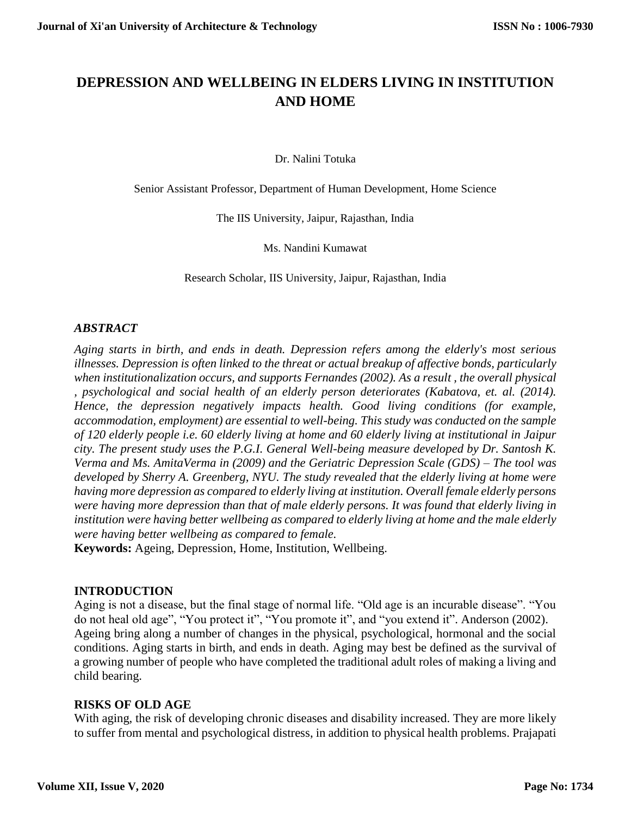# **DEPRESSION AND WELLBEING IN ELDERS LIVING IN INSTITUTION AND HOME**

Dr. Nalini Totuka

Senior Assistant Professor, Department of Human Development, Home Science

The IIS University, Jaipur, Rajasthan, India

Ms. Nandini Kumawat

Research Scholar, IIS University, Jaipur, Rajasthan, India

## *ABSTRACT*

*Aging starts in birth, and ends in death. Depression refers among the elderly's most serious illnesses. Depression is often linked to the threat or actual breakup of affective bonds, particularly when institutionalization occurs, and supports Fernandes (2002). As a result , the overall physical , psychological and social health of an elderly person deteriorates (Kabatova, et. al. (2014). Hence, the depression negatively impacts health. Good living conditions (for example, accommodation, employment) are essential to well-being. This study was conducted on the sample of 120 elderly people i.e. 60 elderly living at home and 60 elderly living at institutional in Jaipur city. The present study uses the P.G.I. General Well-being measure developed by Dr. Santosh K. Verma and Ms. AmitaVerma in (2009) and the Geriatric Depression Scale (GDS) – The tool was developed by Sherry A. Greenberg, NYU. The study revealed that the elderly living at home were having more depression as compared to elderly living at institution. Overall female elderly persons were having more depression than that of male elderly persons. It was found that elderly living in institution were having better wellbeing as compared to elderly living at home and the male elderly were having better wellbeing as compared to female.*

**Keywords:** Ageing, Depression, Home, Institution, Wellbeing.

## **INTRODUCTION**

Aging is not a disease, but the final stage of normal life. "Old age is an incurable disease". "You do not heal old age", "You protect it", "You promote it", and "you extend it". Anderson (2002). Ageing bring along a number of changes in the physical, psychological, hormonal and the social conditions. Aging starts in birth, and ends in death. Aging may best be defined as the survival of a growing number of people who have completed the traditional adult roles of making a living and child bearing.

## **RISKS OF OLD AGE**

With aging, the risk of developing chronic diseases and disability increased. They are more likely to suffer from mental and psychological distress, in addition to physical health problems. Prajapati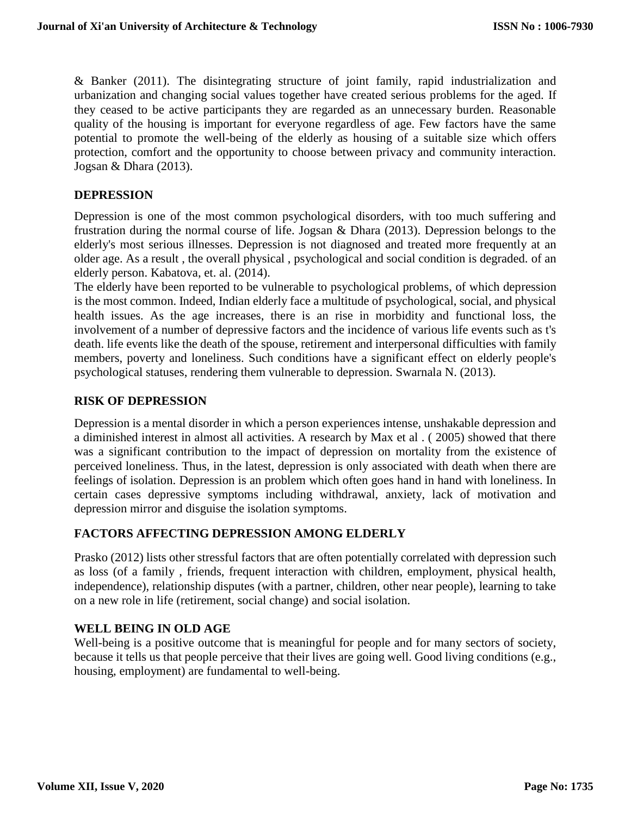& Banker (2011). The disintegrating structure of joint family, rapid industrialization and urbanization and changing social values together have created serious problems for the aged. If they ceased to be active participants they are regarded as an unnecessary burden. Reasonable quality of the housing is important for everyone regardless of age. Few factors have the same potential to promote the well-being of the elderly as housing of a suitable size which offers protection, comfort and the opportunity to choose between privacy and community interaction. Jogsan & Dhara (2013).

## **DEPRESSION**

Depression is one of the most common psychological disorders, with too much suffering and frustration during the normal course of life. Jogsan & Dhara (2013). Depression belongs to the elderly's most serious illnesses. Depression is not diagnosed and treated more frequently at an older age. As a result , the overall physical , psychological and social condition is degraded. of an elderly person. Kabatova, et. al. (2014).

The elderly have been reported to be vulnerable to psychological problems, of which depression is the most common. Indeed, Indian elderly face a multitude of psychological, social, and physical health issues. As the age increases, there is an rise in morbidity and functional loss, the involvement of a number of depressive factors and the incidence of various life events such as t's death. life events like the death of the spouse, retirement and interpersonal difficulties with family members, poverty and loneliness. Such conditions have a significant effect on elderly people's psychological statuses, rendering them vulnerable to depression. Swarnala N. (2013).

## **RISK OF DEPRESSION**

Depression is a mental disorder in which a person experiences intense, unshakable depression and a diminished interest in almost all activities. A research by Max et al . ( 2005) showed that there was a significant contribution to the impact of depression on mortality from the existence of perceived loneliness. Thus, in the latest, depression is only associated with death when there are feelings of isolation. Depression is an problem which often goes hand in hand with loneliness. In certain cases depressive symptoms including withdrawal, anxiety, lack of motivation and depression mirror and disguise the isolation symptoms.

## **FACTORS AFFECTING DEPRESSION AMONG ELDERLY**

Prasko (2012) lists other stressful factors that are often potentially correlated with depression such as loss (of a family , friends, frequent interaction with children, employment, physical health, independence), relationship disputes (with a partner, children, other near people), learning to take on a new role in life (retirement, social change) and social isolation.

## **WELL BEING IN OLD AGE**

Well-being is a positive outcome that is meaningful for people and for many sectors of society, because it tells us that people perceive that their lives are going well. Good living conditions (e.g., housing, employment) are fundamental to well-being.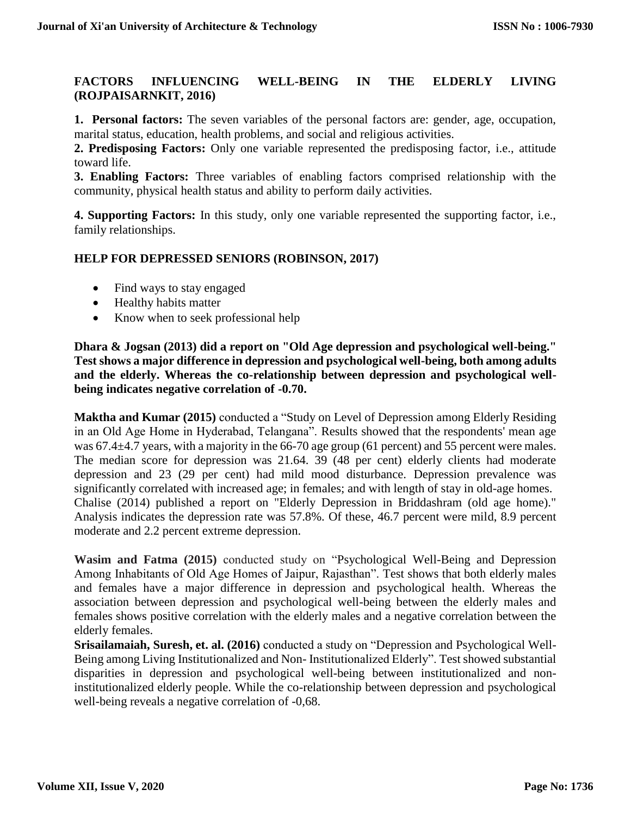## **FACTORS INFLUENCING WELL-BEING IN THE ELDERLY LIVING (ROJPAISARNKIT, 2016)**

**1. Personal factors:** The seven variables of the personal factors are: gender, age, occupation, marital status, education, health problems, and social and religious activities.

**2. Predisposing Factors:** Only one variable represented the predisposing factor, i.e., attitude toward life.

**3. Enabling Factors:** Three variables of enabling factors comprised relationship with the community, physical health status and ability to perform daily activities.

**4. Supporting Factors:** In this study, only one variable represented the supporting factor, i.e., family relationships.

## **HELP FOR DEPRESSED SENIORS (ROBINSON, 2017)**

- Find ways to stay engaged
- Healthy habits matter
- Know when to seek professional help

**Dhara & Jogsan (2013) did a report on "Old Age depression and psychological well-being." Test shows a major difference in depression and psychological well-being, both among adults and the elderly. Whereas the co-relationship between depression and psychological wellbeing indicates negative correlation of -0.70.**

**Maktha and Kumar (2015)** conducted a "Study on Level of Depression among Elderly Residing in an Old Age Home in Hyderabad, Telangana". Results showed that the respondents' mean age was 67.4 $\pm$ 4.7 years, with a majority in the 66-70 age group (61 percent) and 55 percent were males. The median score for depression was 21.64. 39 (48 per cent) elderly clients had moderate depression and 23 (29 per cent) had mild mood disturbance. Depression prevalence was significantly correlated with increased age; in females; and with length of stay in old-age homes. Chalise (2014) published a report on "Elderly Depression in Briddashram (old age home)." Analysis indicates the depression rate was 57.8%. Of these, 46.7 percent were mild, 8.9 percent moderate and 2.2 percent extreme depression.

**Wasim and Fatma (2015)** conducted study on "Psychological Well-Being and Depression Among Inhabitants of Old Age Homes of Jaipur, Rajasthan". Test shows that both elderly males and females have a major difference in depression and psychological health. Whereas the association between depression and psychological well-being between the elderly males and females shows positive correlation with the elderly males and a negative correlation between the elderly females.

**Srisailamaiah, Suresh, et. al. (2016)** conducted a study on "Depression and Psychological Well-Being among Living Institutionalized and Non- Institutionalized Elderly". Test showed substantial disparities in depression and psychological well-being between institutionalized and noninstitutionalized elderly people. While the co-relationship between depression and psychological well-being reveals a negative correlation of -0,68.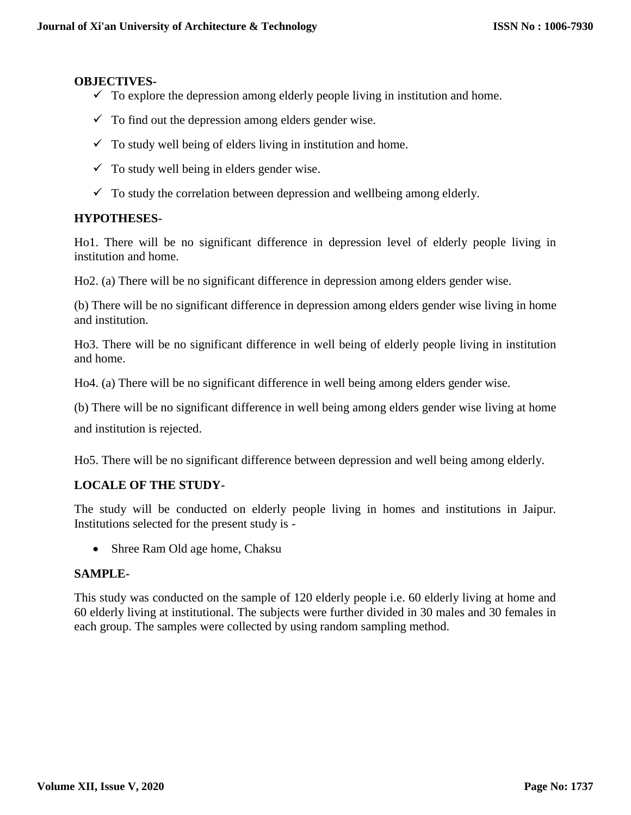#### **OBJECTIVES-**

- $\checkmark$  To explore the depression among elderly people living in institution and home.
- $\checkmark$  To find out the depression among elders gender wise.
- $\checkmark$  To study well being of elders living in institution and home.
- $\checkmark$  To study well being in elders gender wise.
- $\checkmark$  To study the correlation between depression and wellbeing among elderly.

## **HYPOTHESES-**

Ho1. There will be no significant difference in depression level of elderly people living in institution and home.

Ho2. (a) There will be no significant difference in depression among elders gender wise.

(b) There will be no significant difference in depression among elders gender wise living in home and institution.

Ho3. There will be no significant difference in well being of elderly people living in institution and home.

Ho4. (a) There will be no significant difference in well being among elders gender wise.

(b) There will be no significant difference in well being among elders gender wise living at home

and institution is rejected.

Ho5. There will be no significant difference between depression and well being among elderly.

## **LOCALE OF THE STUDY-**

The study will be conducted on elderly people living in homes and institutions in Jaipur. Institutions selected for the present study is -

• Shree Ram Old age home, Chaksu

## **SAMPLE-**

This study was conducted on the sample of 120 elderly people i.e. 60 elderly living at home and 60 elderly living at institutional. The subjects were further divided in 30 males and 30 females in each group. The samples were collected by using random sampling method.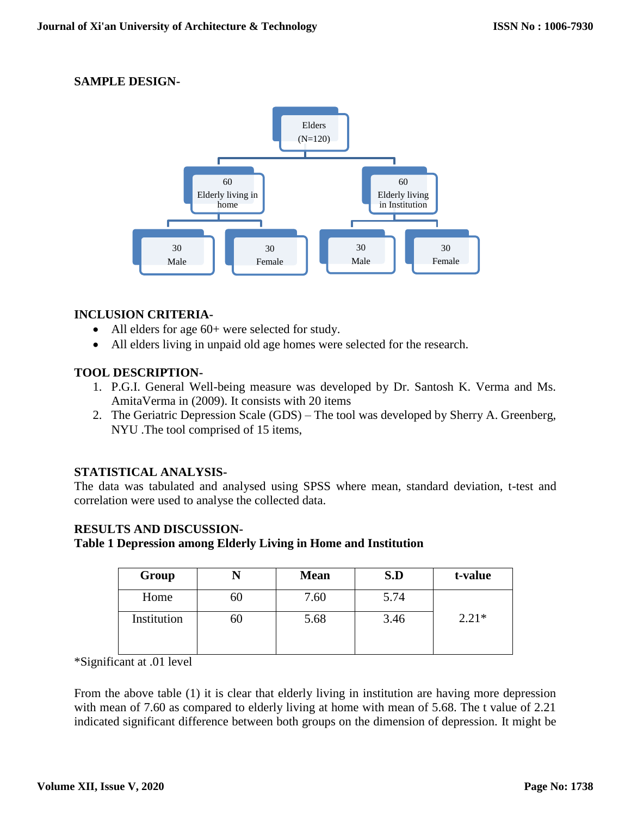## **SAMPLE DESIGN-**



## **INCLUSION CRITERIA-**

- All elders for age 60+ were selected for study.
- All elders living in unpaid old age homes were selected for the research.

## **TOOL DESCRIPTION-**

- 1. P.G.I. General Well-being measure was developed by Dr. Santosh K. Verma and Ms. AmitaVerma in (2009). It consists with 20 items
- 2. The Geriatric Depression Scale (GDS) The tool was developed by Sherry A. Greenberg, NYU .The tool comprised of 15 items,

## **STATISTICAL ANALYSIS-**

The data was tabulated and analysed using SPSS where mean, standard deviation, t-test and correlation were used to analyse the collected data.

## **RESULTS AND DISCUSSION-**

## **Table 1 Depression among Elderly Living in Home and Institution**

| Group       |    | <b>Mean</b> | S.D  | t-value |
|-------------|----|-------------|------|---------|
| Home        | 60 | 7.60        | 5.74 |         |
| Institution | 60 | 5.68        | 3.46 | $2.21*$ |

\*Significant at .01 level

From the above table (1) it is clear that elderly living in institution are having more depression with mean of 7.60 as compared to elderly living at home with mean of 5.68. The t value of 2.21 indicated significant difference between both groups on the dimension of depression. It might be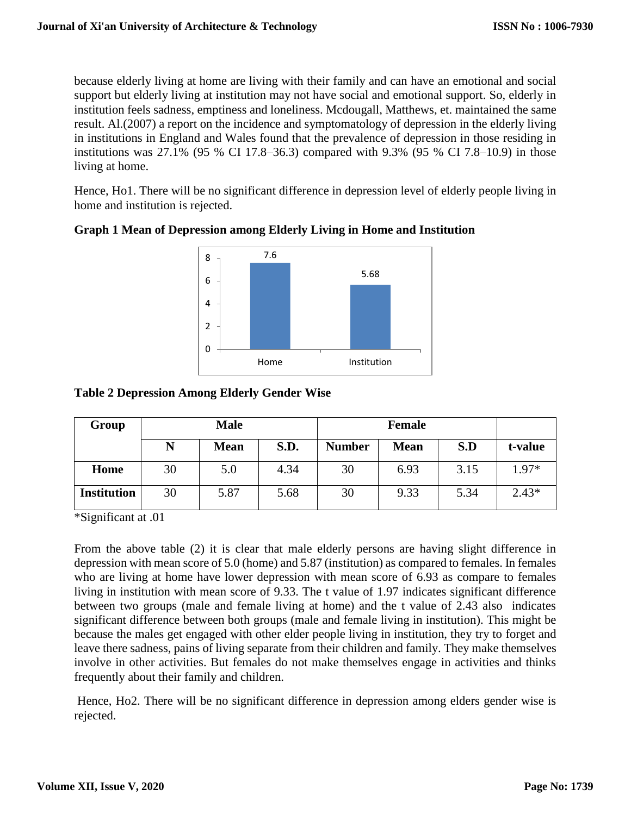because elderly living at home are living with their family and can have an emotional and social support but elderly living at institution may not have social and emotional support. So, elderly in institution feels sadness, emptiness and loneliness. Mcdougall, Matthews, et. maintained the same result. Al.(2007) a report on the incidence and symptomatology of depression in the elderly living in institutions in England and Wales found that the prevalence of depression in those residing in institutions was 27.1% (95 % CI 17.8–36.3) compared with 9.3% (95 % CI 7.8–10.9) in those living at home.

Hence, Ho1. There will be no significant difference in depression level of elderly people living in home and institution is rejected.



# **Graph 1 Mean of Depression among Elderly Living in Home and Institution**

## **Table 2 Depression Among Elderly Gender Wise**

| Group              | <b>Male</b> |             |      | Female        |             |      |         |
|--------------------|-------------|-------------|------|---------------|-------------|------|---------|
|                    |             | <b>Mean</b> | S.D. | <b>Number</b> | <b>Mean</b> | S.D  | t-value |
| Home               | 30          | 5.0         | 4.34 | 30            | 6.93        | 3.15 | 1.97*   |
| <b>Institution</b> | 30          | 5.87        | 5.68 | 30            | 9.33        | 5.34 | $2.43*$ |

\*Significant at .01

From the above table (2) it is clear that male elderly persons are having slight difference in depression with mean score of 5.0 (home) and 5.87 (institution) as compared to females. In females who are living at home have lower depression with mean score of 6.93 as compare to females living in institution with mean score of 9.33. The t value of 1.97 indicates significant difference between two groups (male and female living at home) and the t value of 2.43 also indicates significant difference between both groups (male and female living in institution). This might be because the males get engaged with other elder people living in institution, they try to forget and leave there sadness, pains of living separate from their children and family. They make themselves involve in other activities. But females do not make themselves engage in activities and thinks frequently about their family and children.

Hence, Ho2. There will be no significant difference in depression among elders gender wise is rejected.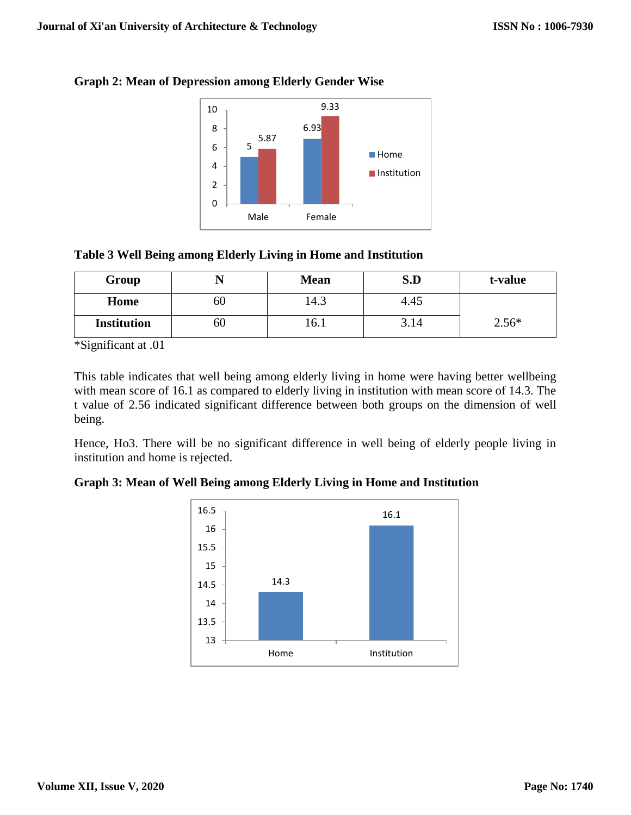

# **Graph 2: Mean of Depression among Elderly Gender Wise**

# **Table 3 Well Being among Elderly Living in Home and Institution**

| Group              | 17 | <b>Mean</b> | S.D  | t-value |
|--------------------|----|-------------|------|---------|
| Home               | 60 | د.4″        | 4.45 |         |
| <b>Institution</b> | 60 | LO.I        | 3.14 | $2.56*$ |

\*Significant at .01

This table indicates that well being among elderly living in home were having better wellbeing with mean score of 16.1 as compared to elderly living in institution with mean score of 14.3. The t value of 2.56 indicated significant difference between both groups on the dimension of well being.

Hence, Ho3. There will be no significant difference in well being of elderly people living in institution and home is rejected.

**Graph 3: Mean of Well Being among Elderly Living in Home and Institution**

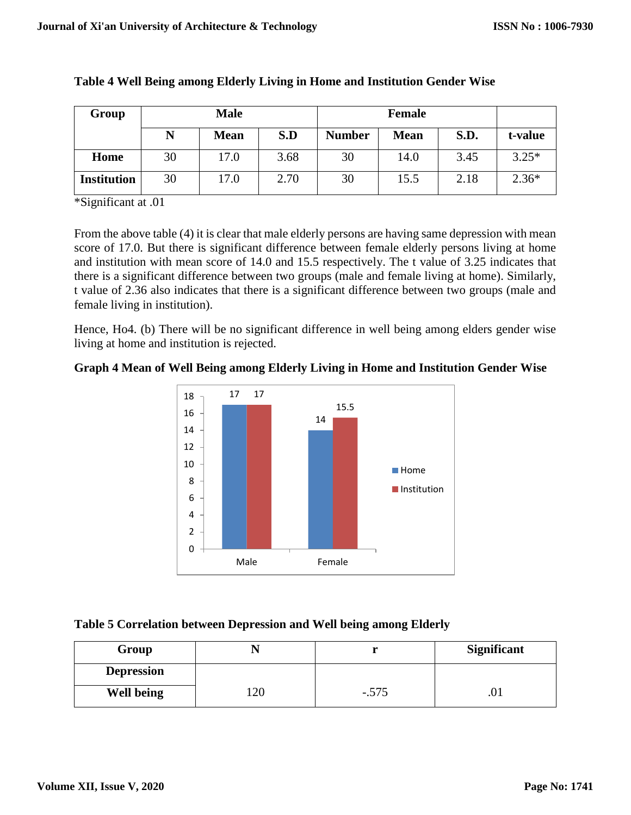| Group              |    | <b>Male</b> |      |               | <b>Female</b> |             |         |
|--------------------|----|-------------|------|---------------|---------------|-------------|---------|
|                    | N  | <b>Mean</b> | S.D  | <b>Number</b> | <b>Mean</b>   | <b>S.D.</b> | t-value |
| Home               | 30 | 17.0        | 3.68 | 30            | 14.0          | 3.45        | $3.25*$ |
| <b>Institution</b> | 30 | 17.0        | 2.70 | 30            | 15.5          | 2.18        | $2.36*$ |

## **Table 4 Well Being among Elderly Living in Home and Institution Gender Wise**

\*Significant at .01

From the above table (4) it is clear that male elderly persons are having same depression with mean score of 17.0. But there is significant difference between female elderly persons living at home and institution with mean score of 14.0 and 15.5 respectively. The t value of 3.25 indicates that there is a significant difference between two groups (male and female living at home). Similarly, t value of 2.36 also indicates that there is a significant difference between two groups (male and female living in institution).

Hence, Ho4. (b) There will be no significant difference in well being among elders gender wise living at home and institution is rejected.





## **Table 5 Correlation between Depression and Well being among Elderly**

| Group             |     |         | <b>Significant</b> |  |
|-------------------|-----|---------|--------------------|--|
| <b>Depression</b> |     |         |                    |  |
| <b>Well being</b> | 120 | $-.575$ | .v.                |  |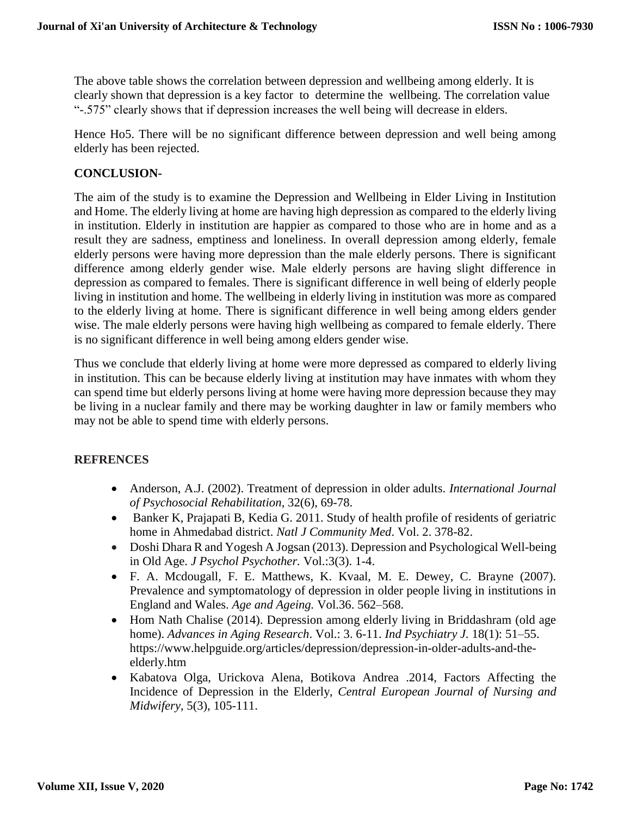The above table shows the correlation between depression and wellbeing among elderly. It is clearly shown that depression is a key factor to determine the wellbeing. The correlation value "-.575" clearly shows that if depression increases the well being will decrease in elders.

Hence Ho5. There will be no significant difference between depression and well being among elderly has been rejected.

## **CONCLUSION-**

The aim of the study is to examine the Depression and Wellbeing in Elder Living in Institution and Home. The elderly living at home are having high depression as compared to the elderly living in institution. Elderly in institution are happier as compared to those who are in home and as a result they are sadness, emptiness and loneliness. In overall depression among elderly, female elderly persons were having more depression than the male elderly persons. There is significant difference among elderly gender wise. Male elderly persons are having slight difference in depression as compared to females. There is significant difference in well being of elderly people living in institution and home. The wellbeing in elderly living in institution was more as compared to the elderly living at home. There is significant difference in well being among elders gender wise. The male elderly persons were having high wellbeing as compared to female elderly. There is no significant difference in well being among elders gender wise.

Thus we conclude that elderly living at home were more depressed as compared to elderly living in institution. This can be because elderly living at institution may have inmates with whom they can spend time but elderly persons living at home were having more depression because they may be living in a nuclear family and there may be working daughter in law or family members who may not be able to spend time with elderly persons.

## **REFRENCES**

- Anderson, A.J. (2002). Treatment of depression in older adults. *International Journal of Psychosocial Rehabilitation*, 32(6), 69-78.
- Banker K, Prajapati B, Kedia G. 2011. Study of health profile of residents of geriatric home in Ahmedabad district. *Natl J Community Med*. Vol. 2. 378-82.
- Doshi Dhara R and Yogesh A Jogsan (2013). Depression and Psychological Well-being in Old Age. *J Psychol Psychother.* Vol.:3(3). 1-4.
- F. A. Mcdougall, F. E. Matthews, K. Kvaal, M. E. Dewey, C. Brayne (2007). Prevalence and symptomatology of depression in older people living in institutions in England and Wales. *Age and Ageing.* Vol.36. 562–568.
- Hom Nath Chalise (2014). Depression among elderly living in Briddashram (old age home). *Advances in Aging Research*. Vol.: 3. 6-11. *[Ind Psychiatry J.](https://www.ncbi.nlm.nih.gov/pmc/articles/PMC3016701/)* 18(1): 51–55. https://www.helpguide.org/articles/depression/depression-in-older-adults-and-theelderly.htm
- Kabatova Olga, Urickova Alena, Botikova Andrea .2014, Factors Affecting the Incidence of Depression in the Elderly, *Central European Journal of Nursing and Midwifery*, 5(3), 105-111.